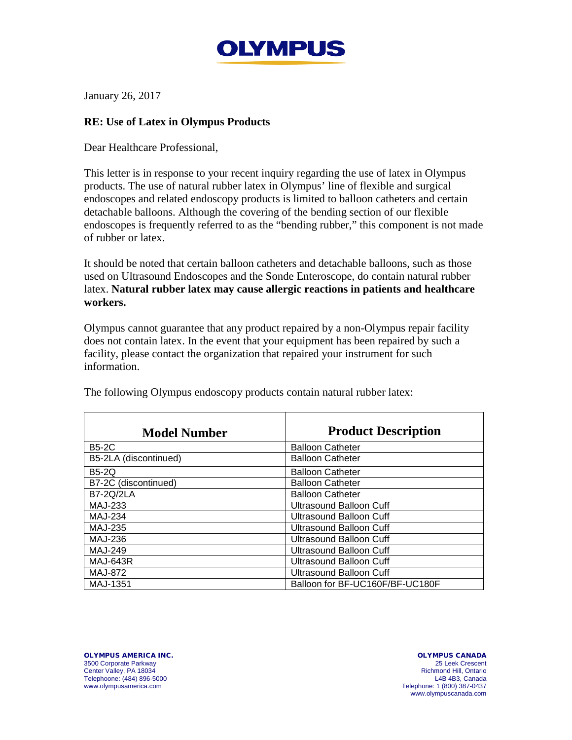

January 26, 2017

## **RE: Use of Latex in Olympus Products**

Dear Healthcare Professional,

This letter is in response to your recent inquiry regarding the use of latex in Olympus products. The use of natural rubber latex in Olympus' line of flexible and surgical endoscopes and related endoscopy products is limited to balloon catheters and certain detachable balloons. Although the covering of the bending section of our flexible endoscopes is frequently referred to as the "bending rubber," this component is not made of rubber or latex.

It should be noted that certain balloon catheters and detachable balloons, such as those used on Ultrasound Endoscopes and the Sonde Enteroscope, do contain natural rubber latex. **Natural rubber latex may cause allergic reactions in patients and healthcare workers.**

Olympus cannot guarantee that any product repaired by a non-Olympus repair facility does not contain latex. In the event that your equipment has been repaired by such a facility, please contact the organization that repaired your instrument for such information.

| <b>Model Number</b>   | <b>Product Description</b>      |
|-----------------------|---------------------------------|
| <b>B5-2C</b>          | <b>Balloon Catheter</b>         |
| B5-2LA (discontinued) | <b>Balloon Catheter</b>         |
| <b>B5-2Q</b>          | <b>Balloon Catheter</b>         |
| B7-2C (discontinued)  | <b>Balloon Catheter</b>         |
| <b>B7-2Q/2LA</b>      | <b>Balloon Catheter</b>         |
| MAJ-233               | <b>Ultrasound Balloon Cuff</b>  |
| <b>MAJ-234</b>        | <b>Ultrasound Balloon Cuff</b>  |
| MAJ-235               | Ultrasound Balloon Cuff         |
| MAJ-236               | Ultrasound Balloon Cuff         |
| MAJ-249               | <b>Ultrasound Balloon Cuff</b>  |
| <b>MAJ-643R</b>       | Ultrasound Balloon Cuff         |
| <b>MAJ-872</b>        | Ultrasound Balloon Cuff         |
| MAJ-1351              | Balloon for BF-UC160F/BF-UC180F |

The following Olympus endoscopy products contain natural rubber latex:

OLYMPUS AMERICA INC. 3500 Corporate Parkway Center Valley, PA 18034 Telephoone: (484) 896-5000 www.olympusamerica.com